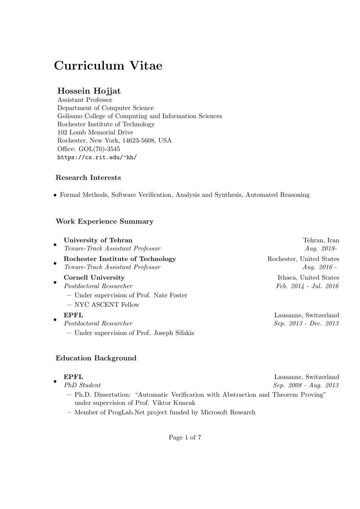# Curriculum Vitae

## Hossein Hojjat

Assistant Professor Department of Computer Science Golisano College of Computing and Information Sciences Rochester Institute of Technology 102 Lomb Memorial Drive Rochester, New York, 14623-5608, USA Office: GOL(70)-3545 https://cs.rit.edu/~hh/

### Research Interests

• Formal Methods, Software Verification, Analysis and Synthesis, Automated Reasoning

## Work Experience Summary

| University of Tehran                                                                       | Tehran, Iran                                     |
|--------------------------------------------------------------------------------------------|--------------------------------------------------|
| $\bullet$<br>Tenure-Track Assistant Professor                                              | <i>Aug.</i> 2018-                                |
| Rochester Institute of Technology<br>$\bullet$<br>Tenure-Track Assistant Professor         | Rochester, United States<br>Aug. $2016$ -        |
| Cornell University<br>٠<br>Postdoctoral Researcher                                         | Ithaca, United States<br>$Feb. 2014 - Jul. 2016$ |
| - Under supervision of Prof. Nate Foster<br>- NYC ASCENT Fellow                            |                                                  |
| <b>EPFL</b><br>٠<br>Postdoctoral Researcher<br>- Under supervision of Prof. Joseph Sifakis | Lausanne, Switzerland<br>Sep. 2013 - Dec. 2013   |

### Education Background

|           | <b>EPFL</b>                                                                         | Lausanne, Switzerland   |
|-----------|-------------------------------------------------------------------------------------|-------------------------|
| $\bullet$ | PhD Student                                                                         | $Sep. 2008 - Aug. 2013$ |
|           | - Ph.D. Dissertation: "Automatic Verification with Abstraction and Theorem Proving" |                         |
|           | under supervision of Prof. Viktor Kuncak                                            |                         |
|           | $\alpha$ . The state is the state of $\alpha$                                       |                         |

– Member of ProgLab.Net project funded by Microsoft Research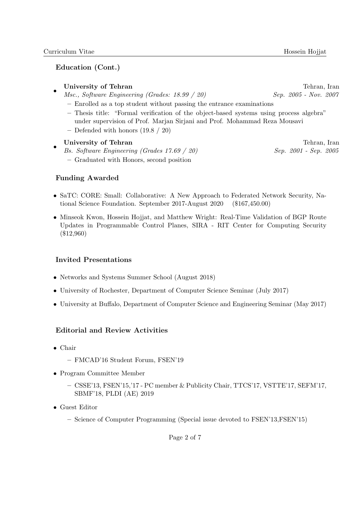### Education (Cont.)

#### • University of Tehran Tehran Tehran Tehran Tehran Tehran, Iran Tehran, Iran Tehran, Iran Tehran, Iran Tehran, Iran Tehran, Iran Tehran, Iran Tehran, Iran Tehran, Iran Tehran, Iran Tehran, Iran Tehran, Iran Tehran Tehran Teh

- Msc., Software Engineering (Grades: 18.99 / 20) Sep. 2005 Nov. 2007
	- Enrolled as a top student without passing the entrance examinations
	- Thesis title: "Formal verification of the object-based systems using process algebra" under supervision of Prof. Marjan Sirjani and Prof. Mohammad Reza Mousavi
	- Defended with honors (19.8 / 20)

#### • University of Tehran Tehran Tehran Tehran Tehran Tehran Tehran Tehran Tehran Tehran Tehran Tehran Tehran Tehran Tehran Tehran Tehran Tehran Tehran Tehran Tehran Tehran Tehran Tehran Tehran Tehran Tehran Tehran Tehran Tehra

- Bs. Software Engineering (Grades 17.69 / 20) Sep. 2001 Sep. 2005
	- Graduated with Honors, second position

### Funding Awarded

- SaTC: CORE: Small: Collaborative: A New Approach to Federated Network Security, National Science Foundation. September 2017-August 2020 (\$167,450.00)
- Minseok Kwon, Hossein Hojjat, and Matthew Wright: Real-Time Validation of BGP Route Updates in Programmable Control Planes, SIRA - RIT Center for Computing Security (\$12,960)

### Invited Presentations

- Networks and Systems Summer School (August 2018)
- University of Rochester, Department of Computer Science Seminar (July 2017)
- University at Buffalo, Department of Computer Science and Engineering Seminar (May 2017)

### Editorial and Review Activities

- Chair
	- FMCAD'16 Student Forum, FSEN'19
- Program Committee Member
	- CSSE'13, FSEN'15,'17 PC member & Publicity Chair, TTCS'17, VSTTE'17, SEFM'17, SBMF'18, PLDI (AE) 2019
- Guest Editor
	- Science of Computer Programming (Special issue devoted to FSEN'13,FSEN'15)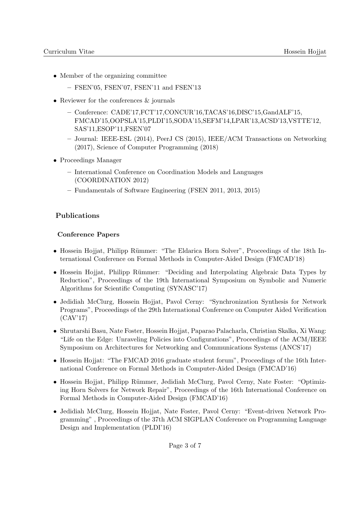- Member of the organizing committee
	- FSEN'05, FSEN'07, FSEN'11 and FSEN'13
- Reviewer for the conferences  $\&$  journals
	- Conference: CADE'17,FCT'17,CONCUR'16,TACAS'16,DISC'15,GandALF'15, FMCAD'15,OOPSLA'15,PLDI'15,SODA'15,SEFM'14,LPAR'13,ACSD'13,VSTTE'12, SAS'11,ESOP'11,FSEN'07
	- Journal: IEEE-ESL (2014), PeerJ CS (2015), IEEE/ACM Transactions on Networking (2017), Science of Computer Programming (2018)
- Proceedings Manager
	- International Conference on Coordination Models and Languages (COORDINATION 2012)
	- Fundamentals of Software Engineering (FSEN 2011, 2013, 2015)

### Publications

#### Conference Papers

- Hossein Hojjat, Philipp Rümmer: "The Eldarica Horn Solver", Proceedings of the 18th International Conference on Formal Methods in Computer-Aided Design (FMCAD'18)
- Hossein Hojjat, Philipp Rümmer: "Deciding and Interpolating Algebraic Data Types by Reduction", Proceedings of the 19th International Symposium on Symbolic and Numeric Algorithms for Scientific Computing (SYNASC'17)
- Jedidiah McClurg, Hossein Hojjat, Pavol Cerny: "Synchronization Synthesis for Network Programs", Proceedings of the 29th International Conference on Computer Aided Verification (CAV'17)
- Shrutarshi Basu, Nate Foster, Hossein Hojjat, Paparao Palacharla, Christian Skalka, Xi Wang: "Life on the Edge: Unraveling Policies into Configurations", Proceedings of the ACM/IEEE Symposium on Architectures for Networking and Communications Systems (ANCS'17)
- Hossein Hojjat: "The FMCAD 2016 graduate student forum", Proceedings of the 16th International Conference on Formal Methods in Computer-Aided Design (FMCAD'16)
- Hossein Hojjat, Philipp Rümmer, Jedidiah McClurg, Pavol Cerny, Nate Foster: "Optimizing Horn Solvers for Network Repair", Proceedings of the 16th International Conference on Formal Methods in Computer-Aided Design (FMCAD'16)
- Jedidiah McClurg, Hossein Hojjat, Nate Foster, Pavol Cerny: "Event-driven Network Programming" , Proceedings of the 37th ACM SIGPLAN Conference on Programming Language Design and Implementation (PLDI'16)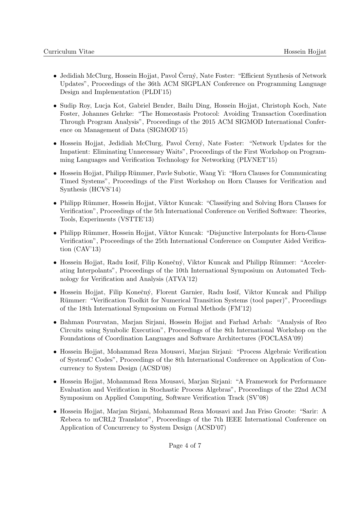- Jedidiah McClurg, Hossein Hojjat, Pavol Černý, Nate Foster: "Efficient Synthesis of Network Updates", Proceedings of the 36th ACM SIGPLAN Conference on Programming Language Design and Implementation (PLDI'15)
- Sudip Roy, Lucja Kot, Gabriel Bender, Bailu Ding, Hossein Hojjat, Christoph Koch, Nate Foster, Johannes Gehrke: "The Homeostasis Protocol: Avoiding Transaction Coordination Through Program Analysis", Proceedings of the 2015 ACM SIGMOD International Conference on Management of Data (SIGMOD'15)
- Hossein Hojjat, Jedidiah McClurg, Pavol Černý, Nate Foster: "Network Updates for the Impatient: Eliminating Unnecessary Waits", Proceedings of the First Workshop on Programming Languages and Verification Technology for Networking (PLVNET'15)
- Hossein Hojjat, Philipp Rümmer, Pavle Subotic, Wang Yi: "Horn Clauses for Communicating Timed Systems", Proceedings of the First Workshop on Horn Clauses for Verification and Synthesis (HCVS'14)
- Philipp Rümmer, Hossein Hojjat, Viktor Kuncak: "Classifying and Solving Horn Clauses for Verification", Proceedings of the 5th International Conference on Verified Software: Theories, Tools, Experiments (VSTTE'13)
- Philipp Rümmer, Hossein Hojjat, Viktor Kuncak: "Disjunctive Interpolants for Horn-Clause Verification", Proceedings of the 25th International Conference on Computer Aided Verification (CAV'13)
- Hossein Hojjat, Radu Iosif, Filip Konečný, Viktor Kuncak and Philipp Rümmer: "Accelerating Interpolants", Proceedings of the 10th International Symposium on Automated Technology for Verification and Analysis (ATVA'12)
- Hossein Hojjat, Filip Konečný, Florent Garnier, Radu Iosif, Viktor Kuncak and Philipp Rümmer: "Verification Toolkit for Numerical Transition Systems (tool paper)", Proceedings of the 18th International Symposium on Formal Methods (FM'12)
- Bahman Pourvatan, Marjan Sirjani, Hossein Hojjat and Farhad Arbab: "Analysis of Reo Circuits using Symbolic Execution", Proceedings of the 8th International Workshop on the Foundations of Coordination Languages and Software Architectures (FOCLASA'09)
- Hossein Hojjat, Mohammad Reza Mousavi, Marjan Sirjani: "Process Algebraic Verification of SystemC Codes", Proceedings of the 8th International Conference on Application of Concurrency to System Design (ACSD'08)
- Hossein Hojjat, Mohammad Reza Mousavi, Marjan Sirjani: "A Framework for Performance Evaluation and Verification in Stochastic Process Algebras", Proceedings of the 22nd ACM Symposium on Applied Computing, Software Verification Track (SV'08)
- Hossein Hojjat, Marjan Sirjani, Mohammad Reza Mousavi and Jan Friso Groote: "Sarir: A Rebeca to mCRL2 Translator", Proceedings of the 7th IEEE International Conference on Application of Concurrency to System Design (ACSD'07)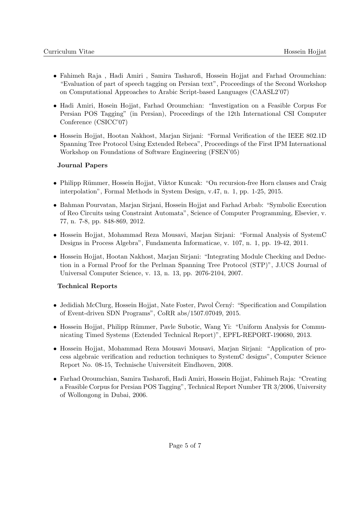- Fahimeh Raja , Hadi Amiri , Samira Tasharofi, Hossein Hojjat and Farhad Oroumchian: "Evaluation of part of speech tagging on Persian text", Proceedings of the Second Workshop on Computational Approaches to Arabic Script-based Languages (CAASL2'07)
- Hadi Amiri, Hosein Hojjat, Farhad Oroumchian: "Investigation on a Feasible Corpus For Persian POS Tagging" (in Persian), Proceedings of the 12th International CSI Computer Conference (CSICC'07)
- Hossein Hojjat, Hootan Nakhost, Marjan Sirjani: "Formal Verification of the IEEE 802.1D Spanning Tree Protocol Using Extended Rebeca", Proceedings of the First IPM International Workshop on Foundations of Software Engineering (FSEN'05)

#### Journal Papers

- Philipp Rümmer, Hossein Hojjat, Viktor Kuncak: "On recursion-free Horn clauses and Craig interpolation", Formal Methods in System Design, v.47, n. 1, pp. 1-25, 2015.
- Bahman Pourvatan, Marjan Sirjani, Hossein Hojjat and Farhad Arbab: "Symbolic Execution of Reo Circuits using Constraint Automata", Science of Computer Programming, Elsevier, v. 77, n. 7-8, pp. 848-869, 2012.
- Hossein Hojjat, Mohammad Reza Mousavi, Marjan Sirjani: "Formal Analysis of SystemC Designs in Process Algebra", Fundamenta Informaticae, v. 107, n. 1, pp. 19-42, 2011.
- Hossein Hojjat, Hootan Nakhost, Marjan Sirjani: "Integrating Module Checking and Deduction in a Formal Proof for the Perlman Spanning Tree Protocol (STP)", J.UCS Journal of Universal Computer Science, v. 13, n. 13, pp. 2076-2104, 2007.

#### Technical Reports

- Jedidiah McClurg, Hossein Hojjat, Nate Foster, Pavol Černý: "Specification and Compilation of Event-driven SDN Programs", CoRR abs/1507.07049, 2015.
- Hossein Hojjat, Philipp Rümmer, Pavle Subotic, Wang Yi: "Uniform Analysis for Communicating Timed Systems (Extended Technical Report)", EPFL-REPORT-190680, 2013.
- Hossein Hojjat, Mohammad Reza Mousavi Mousavi, Marjan Sirjani: "Application of process algebraic verification and reduction techniques to SystemC designs", Computer Science Report No. 08-15, Technische Universiteit Eindhoven, 2008.
- Farhad Oroumchian, Samira Tasharofi, Hadi Amiri, Hossein Hojjat, Fahimeh Raja: "Creating a Feasible Corpus for Persian POS Tagging", Technical Report Number TR 3/2006, University of Wollongong in Dubai, 2006.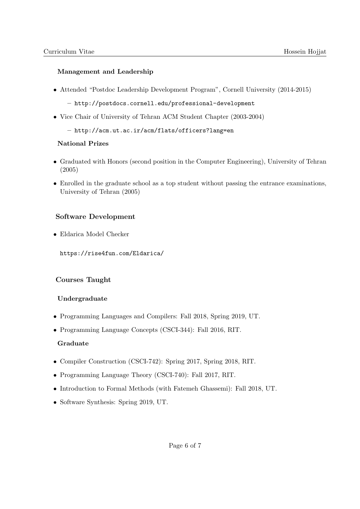#### Management and Leadership

• Attended "Postdoc Leadership Development Program", Cornell University (2014-2015)

– http://postdocs.cornell.edu/professional-development

- Vice Chair of University of Tehran ACM Student Chapter (2003-2004)
	- http://acm.ut.ac.ir/acm/flats/officers?lang=en

#### National Prizes

- Graduated with Honors (second position in the Computer Engineering), University of Tehran (2005)
- Enrolled in the graduate school as a top student without passing the entrance examinations, University of Tehran (2005)

#### Software Development

• Eldarica Model Checker

https://rise4fun.com/Eldarica/

#### Courses Taught

#### Undergraduate

- Programming Languages and Compilers: Fall 2018, Spring 2019, UT.
- Programming Language Concepts (CSCI-344): Fall 2016, RIT.

#### Graduate

- Compiler Construction (CSCI-742): Spring 2017, Spring 2018, RIT.
- Programming Language Theory (CSCI-740): Fall 2017, RIT.
- Introduction to Formal Methods (with Fatemeh Ghassemi): Fall 2018, UT.
- Software Synthesis: Spring 2019, UT.